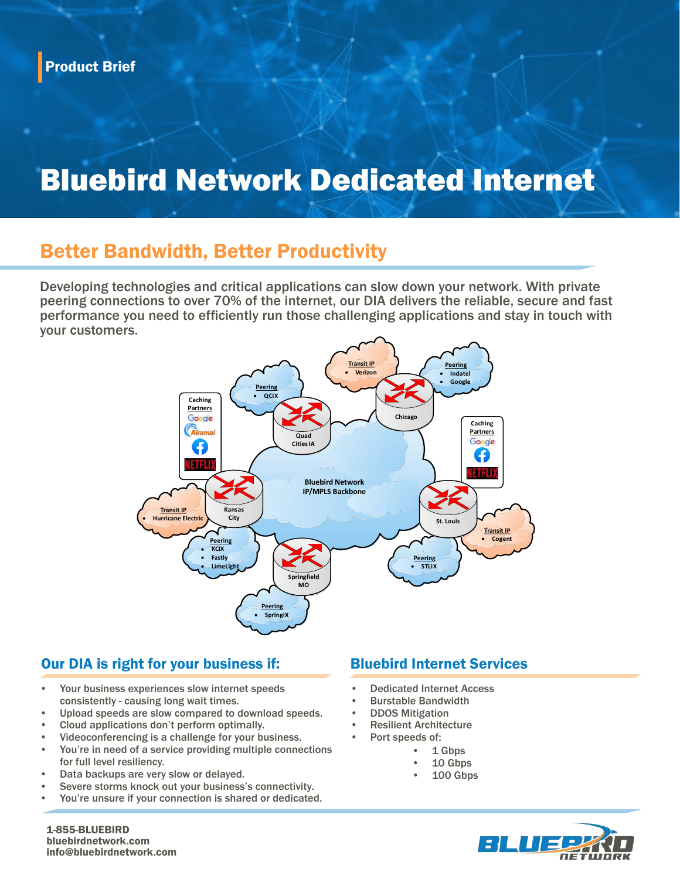# Bluebird Network Dedicated Internet

## Better Bandwidth, Better Productivity

Developing technologies and critical applications can slow down your network. With private peering connections to over 70% of the internet, our DIA delivers the reliable, secure and fast performance you need to efficiently run those challenging applications and stay in touch with your customers.



#### Our DIA is right for your business if: Bluebird Internet Services

- Your business experiences slow internet speeds consistently - causing long wait times.
- Upload speeds are slow compared to download speeds.
- Cloud applications don't perform optimally.
- Videoconferencing is a challenge for your business.
- You're in need of a service providing multiple connections for full level resiliency.
- Data backups are very slow or delayed.
- Severe storms knock out your business's connectivity.
- You're unsure if your connection is shared or dedicated.

- Dedicated Internet Access
- Burstable Bandwidth
- DDOS Mitigation
- **Resilient Architecture** 
	- Port speeds of:
		- 1 Gbps
		- 10 Gbps
		- 100 Gbps



1-855-BLUEBIRD bluebirdnetwork.com info@bluebirdnetwork.com